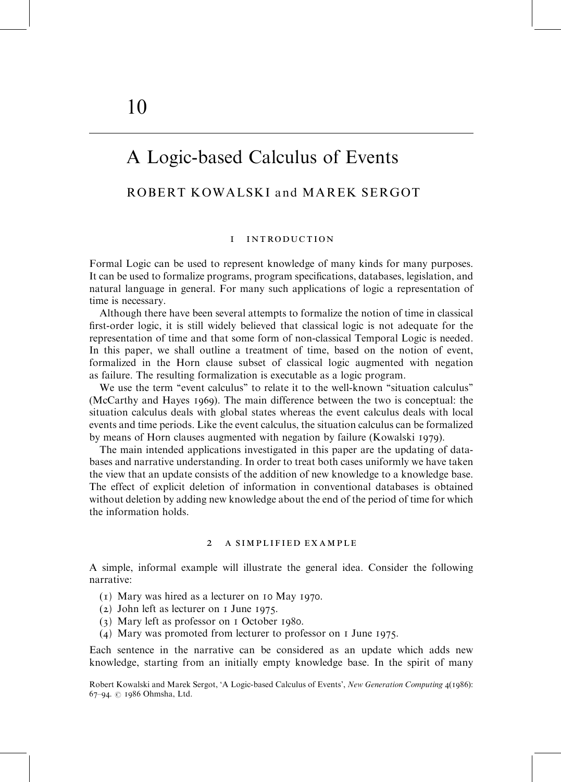# A Logic-based Calculus of Events

# ROBERT KOWALSKI and MAREK SERGOT

#### 1 introduction

Formal Logic can be used to represent knowledge of many kinds for many purposes. It can be used to formalize programs, program specifications, databases, legislation, and natural language in general. For many such applications of logic a representation of time is necessary.

Although there have been several attempts to formalize the notion of time in classical first-order logic, it is still widely believed that classical logic is not adequate for the representation of time and that some form of non-classical Temporal Logic is needed. In this paper, we shall outline a treatment of time, based on the notion of event, formalized in the Horn clause subset of classical logic augmented with negation as failure. The resulting formalization is executable as a logic program.

We use the term "event calculus" to relate it to the well-known "situation calculus" (McCarthy and Hayes 1969). The main difference between the two is conceptual: the situation calculus deals with global states whereas the event calculus deals with local events and time periods. Like the event calculus, the situation calculus can be formalized by means of Horn clauses augmented with negation by failure (Kowalski 1979).

The main intended applications investigated in this paper are the updating of databases and narrative understanding. In order to treat both cases uniformly we have taken the view that an update consists of the addition of new knowledge to a knowledge base. The effect of explicit deletion of information in conventional databases is obtained without deletion by adding new knowledge about the end of the period of time for which the information holds.

## 2 a simplified example

A simple, informal example will illustrate the general idea. Consider the following narrative:

- (1) Mary was hired as a lecturer on 10 May 1970.
- (2) John left as lecturer on 1 June 1975.
- (3) Mary left as professor on 1 October 1980.
- (4) Mary was promoted from lecturer to professor on 1 June 1975.

Each sentence in the narrative can be considered as an update which adds new knowledge, starting from an initially empty knowledge base. In the spirit of many

Robert Kowalski and Marek Sergot, 'A Logic-based Calculus of Events', New Generation Computing 4(1986): 67-94. © 1986 Ohmsha, Ltd.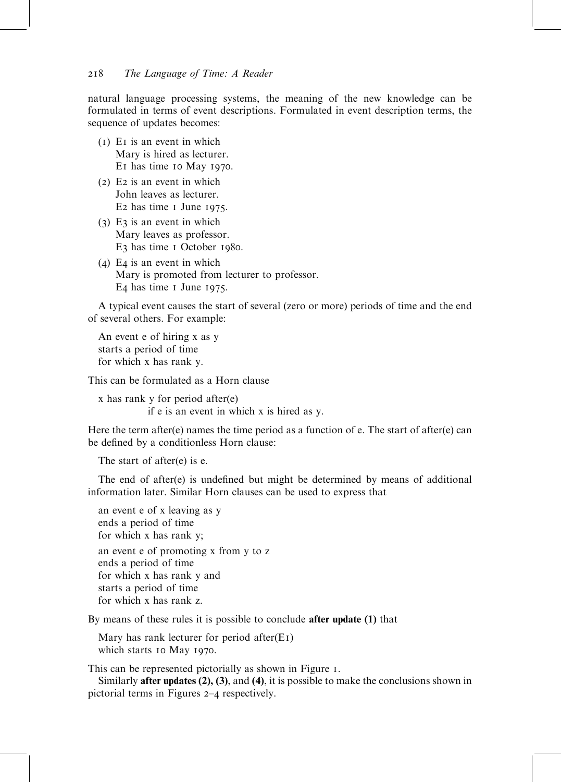natural language processing systems, the meaning of the new knowledge can be formulated in terms of event descriptions. Formulated in event description terms, the sequence of updates becomes:

- (1) E1 is an event in which Mary is hired as lecturer. E1 has time 10 May 1970.
- (2) E2 is an event in which John leaves as lecturer. E<sub>2</sub> has time 1 June 1975.
- (3) E3 is an event in which Mary leaves as professor. E3 has time 1 October 1980.
- (4) E4 is an event in which Mary is promoted from lecturer to professor. E<sub>4</sub> has time 1 June 1975.

A typical event causes the start of several (zero or more) periods of time and the end of several others. For example:

An event e of hiring x as y starts a period of time for which x has rank y.

This can be formulated as a Horn clause

x has rank y for period after(e) if e is an event in which x is hired as y.

Here the term after(e) names the time period as a function of e. The start of after(e) can be defined by a conditionless Horn clause:

The start of after(e) is e.

The end of after(e) is undefined but might be determined by means of additional information later. Similar Horn clauses can be used to express that

an event e of x leaving as y ends a period of time for which x has rank y; an event e of promoting x from y to z ends a period of time for which x has rank y and starts a period of time for which x has rank z.

By means of these rules it is possible to conclude after update (1) that

Mary has rank lecturer for period after(E1) which starts 10 May 1970.

This can be represented pictorially as shown in Figure 1.

Similarly **after updates (2), (3)**, and (4), it is possible to make the conclusions shown in pictorial terms in Figures 2–4 respectively.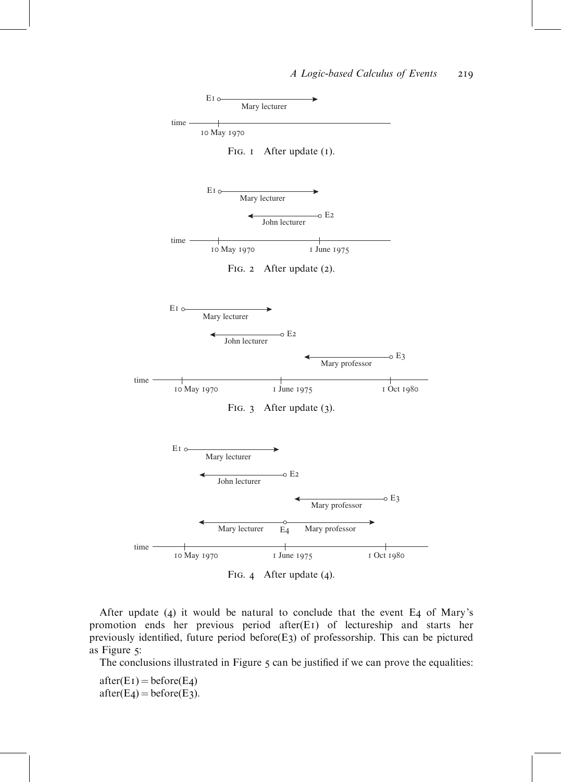

FIG. 4 After update (4).

After update (4) it would be natural to conclude that the event E4 of Mary's promotion ends her previous period after(E1) of lectureship and starts her previously identified, future period before(E3) of professorship. This can be pictured as Figure 5:

The conclusions illustrated in Figure 5 can be justified if we can prove the equalities:

 $after(EI) = before(E4)$  $after(E_4) = before(E_3).$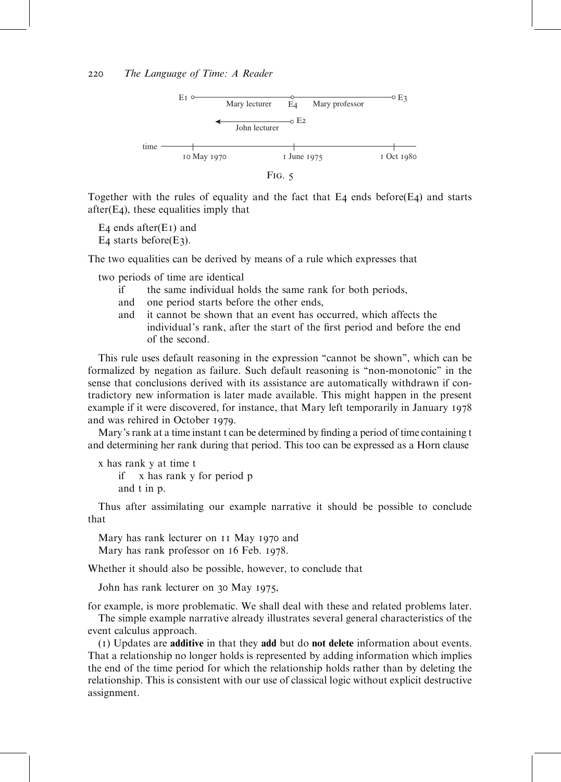

Together with the rules of equality and the fact that  $E_4$  ends before( $E_4$ ) and starts  $after (E<sub>4</sub>)$ , these equalities imply that

E4 ends after $(EI)$  and E4 starts before $(E_3)$ .

The two equalities can be derived by means of a rule which expresses that

two periods of time are identical

- if the same individual holds the same rank for both periods,
- and one period starts before the other ends,
- and it cannot be shown that an event has occurred, which affects the individual's rank, after the start of the first period and before the end of the second.

This rule uses default reasoning in the expression "cannot be shown", which can be formalized by negation as failure. Such default reasoning is ''non-monotonic'' in the sense that conclusions derived with its assistance are automatically withdrawn if contradictory new information is later made available. This might happen in the present example if it were discovered, for instance, that Mary left temporarily in January 1978 and was rehired in October 1979.

Mary's rank at a time instant t can be determined by finding a period of time containing t and determining her rank during that period. This too can be expressed as a Horn clause

x has rank y at time t if x has rank y for period p and t in p.

Thus after assimilating our example narrative it should be possible to conclude that

Mary has rank lecturer on 11 May 1970 and Mary has rank professor on 16 Feb. 1978.

Whether it should also be possible, however, to conclude that

John has rank lecturer on 30 May 1975,

for example, is more problematic. We shall deal with these and related problems later. The simple example narrative already illustrates several general characteristics of the event calculus approach.

(1) Updates are additive in that they add but do not delete information about events. That a relationship no longer holds is represented by adding information which implies the end of the time period for which the relationship holds rather than by deleting the relationship. This is consistent with our use of classical logic without explicit destructive assignment.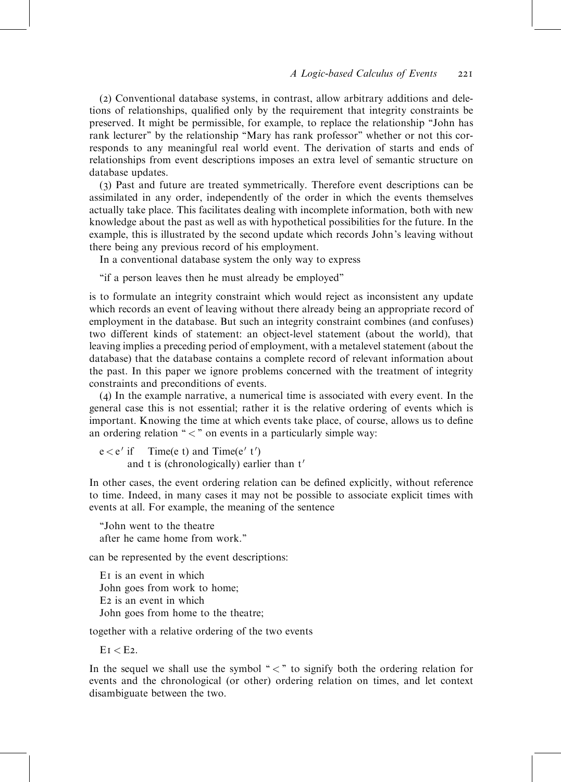(2) Conventional database systems, in contrast, allow arbitrary additions and deletions of relationships, qualified only by the requirement that integrity constraints be preserved. It might be permissible, for example, to replace the relationship ''John has rank lecturer" by the relationship "Mary has rank professor" whether or not this corresponds to any meaningful real world event. The derivation of starts and ends of relationships from event descriptions imposes an extra level of semantic structure on database updates.

(3) Past and future are treated symmetrically. Therefore event descriptions can be assimilated in any order, independently of the order in which the events themselves actually take place. This facilitates dealing with incomplete information, both with new knowledge about the past as well as with hypothetical possibilities for the future. In the example, this is illustrated by the second update which records John's leaving without there being any previous record of his employment.

In a conventional database system the only way to express

''if a person leaves then he must already be employed''

is to formulate an integrity constraint which would reject as inconsistent any update which records an event of leaving without there already being an appropriate record of employment in the database. But such an integrity constraint combines (and confuses) two different kinds of statement: an object-level statement (about the world), that leaving implies a preceding period of employment, with a metalevel statement (about the database) that the database contains a complete record of relevant information about the past. In this paper we ignore problems concerned with the treatment of integrity constraints and preconditions of events.

(4) In the example narrative, a numerical time is associated with every event. In the general case this is not essential; rather it is the relative ordering of events which is important. Knowing the time at which events take place, of course, allows us to define an ordering relation " $\langle$ " on events in a particularly simple way:

 $e < e'$  if Time(e t) and Time(e' t') and t is (chronologically) earlier than  $t'$ 

In other cases, the event ordering relation can be defined explicitly, without reference to time. Indeed, in many cases it may not be possible to associate explicit times with events at all. For example, the meaning of the sentence

''John went to the theatre after he came home from work.''

can be represented by the event descriptions:

E1 is an event in which John goes from work to home; E2 is an event in which John goes from home to the theatre;

together with a relative ordering of the two events

 $E1 < E2$ .

In the sequel we shall use the symbol " $\lt$ " to signify both the ordering relation for events and the chronological (or other) ordering relation on times, and let context disambiguate between the two.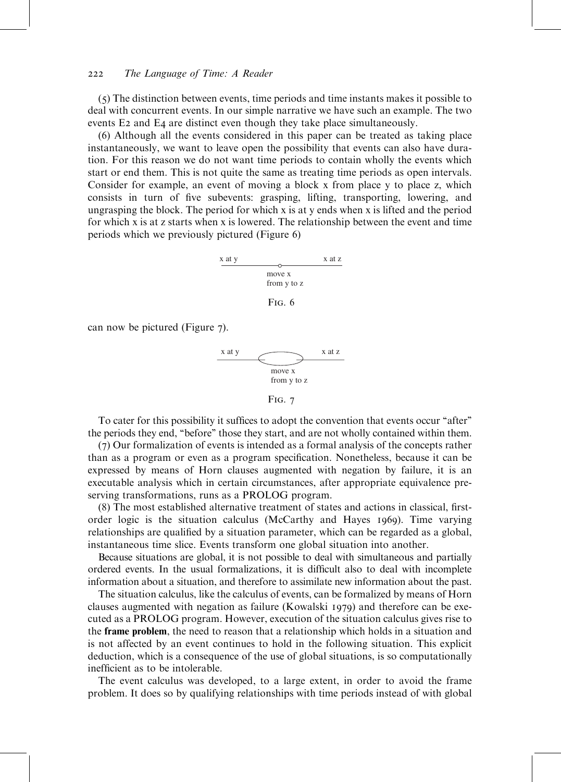(5) The distinction between events, time periods and time instants makes it possible to deal with concurrent events. In our simple narrative we have such an example. The two events E2 and E4 are distinct even though they take place simultaneously.

(6) Although all the events considered in this paper can be treated as taking place instantaneously, we want to leave open the possibility that events can also have duration. For this reason we do not want time periods to contain wholly the events which start or end them. This is not quite the same as treating time periods as open intervals. Consider for example, an event of moving a block x from place y to place z, which consists in turn of five subevents: grasping, lifting, transporting, lowering, and ungrasping the block. The period for which x is at y ends when x is lifted and the period for which x is at z starts when x is lowered. The relationship between the event and time periods which we previously pictured (Figure 6)



can now be pictured (Figure 7).



Fig. 7

To cater for this possibility it suffices to adopt the convention that events occur "after" the periods they end, ''before'' those they start, and are not wholly contained within them.

(7) Our formalization of events is intended as a formal analysis of the concepts rather than as a program or even as a program specification. Nonetheless, because it can be expressed by means of Horn clauses augmented with negation by failure, it is an executable analysis which in certain circumstances, after appropriate equivalence preserving transformations, runs as a PROLOG program.

(8) The most established alternative treatment of states and actions in classical, firstorder logic is the situation calculus (McCarthy and Hayes 1969). Time varying relationships are qualified by a situation parameter, which can be regarded as a global, instantaneous time slice. Events transform one global situation into another.

Because situations are global, it is not possible to deal with simultaneous and partially ordered events. In the usual formalizations, it is difficult also to deal with incomplete information about a situation, and therefore to assimilate new information about the past.

The situation calculus, like the calculus of events, can be formalized by means of Horn clauses augmented with negation as failure (Kowalski 1979) and therefore can be executed as a PROLOG program. However, execution of the situation calculus gives rise to the frame problem, the need to reason that a relationship which holds in a situation and is not affected by an event continues to hold in the following situation. This explicit deduction, which is a consequence of the use of global situations, is so computationally inefficient as to be intolerable.

The event calculus was developed, to a large extent, in order to avoid the frame problem. It does so by qualifying relationships with time periods instead of with global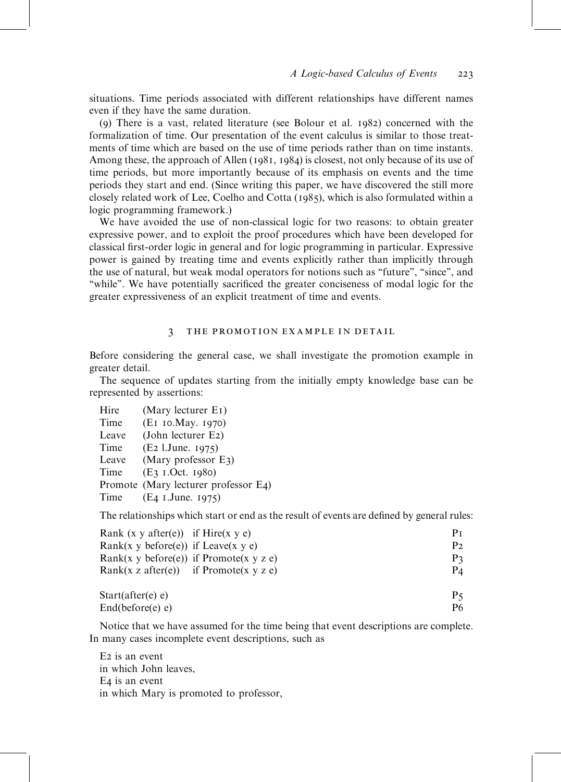situations. Time periods associated with different relationships have different names even if they have the same duration.

(9) There is a vast, related literature (see Bolour et al. 1982) concerned with the formalization of time. Our presentation of the event calculus is similar to those treatments of time which are based on the use of time periods rather than on time instants. Among these, the approach of Allen (1981, 1984) is closest, not only because of its use of time periods, but more importantly because of its emphasis on events and the time periods they start and end. (Since writing this paper, we have discovered the still more closely related work of Lee, Coelho and Cotta (1985), which is also formulated within a logic programming framework.)

We have avoided the use of non-classical logic for two reasons: to obtain greater expressive power, and to exploit the proof procedures which have been developed for classical first-order logic in general and for logic programming in particular. Expressive power is gained by treating time and events explicitly rather than implicitly through the use of natural, but weak modal operators for notions such as "future", "since", and ''while''. We have potentially sacrificed the greater conciseness of modal logic for the greater expressiveness of an explicit treatment of time and events.

## 3 the promotion example in detail

Before considering the general case, we shall investigate the promotion example in greater detail.

The sequence of updates starting from the initially empty knowledge base can be represented by assertions:

Hire (Mary lecturer E<sub>1</sub>) Time (E1 10.May. 1970) Leave (John lecturer E2) Time (E2 l.June. 1975) Leave (Mary professor E3) Time (E3 1.Oct. 1980) Promote (Mary lecturer professor E4) Time (E4 1.June. 1975)

The relationships which start or end as the result of events are defined by general rules:

| Rank $(x \ y \ after(e))$ if Hire $(x \ y \ e)$<br>Rank(x y before(e)) if Leave(x y e) | Rank(x y before(e)) if Promote(x y z e) | P<br>P <sub>2</sub><br>P <sub>3</sub> |
|----------------------------------------------------------------------------------------|-----------------------------------------|---------------------------------------|
| Start(after(e) e)<br>End(before(e) e)                                                  | Rank(x z after(e)) if Promote(x y z e)  | $P_4$<br>$P_{5}$<br>Р6                |

Notice that we have assumed for the time being that event descriptions are complete. In many cases incomplete event descriptions, such as

E2 is an event in which John leaves, E4 is an event in which Mary is promoted to professor,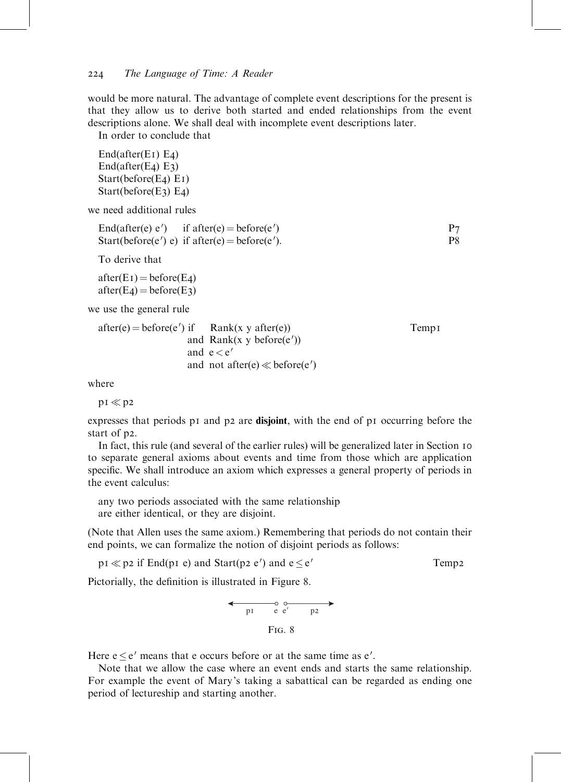would be more natural. The advantage of complete event descriptions for the present is that they allow us to derive both started and ended relationships from the event descriptions alone. We shall deal with incomplete event descriptions later. In order to conclude that

```
End(after(E<sub>I</sub>) E<sub>4</sub>)
End(after(E<sub>4</sub>) E<sub>3</sub>)Start(before(E4) E1)
Start(before(E3) E4)
```
we need additional rules

End(after(e)  $e'$ ) if after(e) = before(e') Start(before(e') e) if after(e) = before(e'

 $P_7$ ). P8

To derive that

 $after(EI) = before(E4)$  $after(E_4) = before(E_3)$ 

we use the general rule

 $after(e) = before(e')$  if  $Rank(x \text{ y after}(e))$  Temp1 and Rank( $x$  y before(e')) and  $e < e'$ and not after(e)  $\ll$  before(e')

where

 $p_1 \ll p_2$ 

expresses that periods p1 and p2 are disjoint, with the end of p1 occurring before the start of p2.

In fact, this rule (and several of the earlier rules) will be generalized later in Section 10 to separate general axioms about events and time from those which are application specific. We shall introduce an axiom which expresses a general property of periods in the event calculus:

any two periods associated with the same relationship are either identical, or they are disjoint.

(Note that Allen uses the same axiom.) Remembering that periods do not contain their end points, we can formalize the notion of disjoint periods as follows:

 $p_1 \ll p_2$  if End(p1 e) and Start(p2 e') and  $e \le e'$  Temp2

Pictorially, the definition is illustrated in Figure 8.

$$
\begin{array}{c}\n \bullet \\
 \hline\n p1 \quad e \quad e' \quad p2\n\end{array}
$$
\nFIG. 8

Here  $e \le e'$  means that e occurs before or at the same time as  $e'$ .

Note that we allow the case where an event ends and starts the same relationship. For example the event of Mary's taking a sabattical can be regarded as ending one period of lectureship and starting another.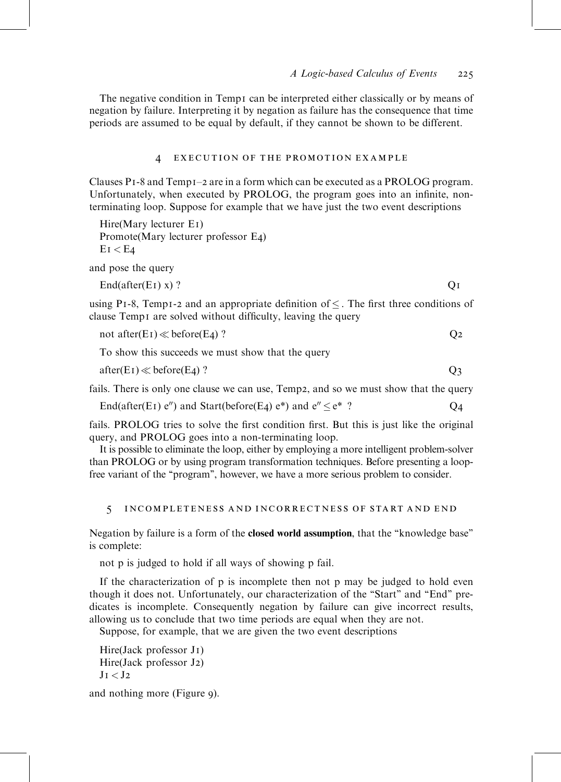The negative condition in Temp1 can be interpreted either classically or by means of negation by failure. Interpreting it by negation as failure has the consequence that time periods are assumed to be equal by default, if they cannot be shown to be different.

## 4 execution of the promotion example

Clauses  $P_1$ -8 and Temp<sub>1</sub>-2 are in a form which can be executed as a PROLOG program. Unfortunately, when executed by PROLOG, the program goes into an infinite, nonterminating loop. Suppose for example that we have just the two event descriptions

Hire(Mary lecturer E1) Promote(Mary lecturer professor E4)  $E1 < E4$ 

and pose the query

 $End(after(E1) x) ?$  Q<sub>1</sub>

using P<sub>1</sub>-8, Temp<sub>1</sub>-2 and an appropriate definition of  $\leq$ . The first three conditions of clause Temp1 are solved without difficulty, leaving the query

not after(E<sub>1</sub>)  $\ll$  before(E<sub>4</sub>)? Q<sub>2</sub>

To show this succeeds we must show that the query

 $after(E1) \ll before(E4)?$  Q3

fails. There is only one clause we can use, Temp2, and so we must show that the query

End(after(E1) e'') and Start(before(E4) e<sup>\*</sup>) and e''  $\leq$  e<sup>\*</sup> ? Q4

fails. PROLOG tries to solve the first condition first. But this is just like the original query, and PROLOG goes into a non-terminating loop.

It is possible to eliminate the loop, either by employing a more intelligent problem-solver than PROLOG or by using program transformation techniques. Before presenting a loopfree variant of the ''program'', however, we have a more serious problem to consider.

## 5 incompleteness and incorrectness of start and end

Negation by failure is a form of the closed world assumption, that the "knowledge base" is complete:

not p is judged to hold if all ways of showing p fail.

If the characterization of  $p$  is incomplete then not  $p$  may be judged to hold even though it does not. Unfortunately, our characterization of the "Start" and "End" predicates is incomplete. Consequently negation by failure can give incorrect results, allowing us to conclude that two time periods are equal when they are not.

Suppose, for example, that we are given the two event descriptions

Hire(Jack professor J1) Hire(Jack professor J2)  $J_1 < J_2$ 

and nothing more (Figure 9).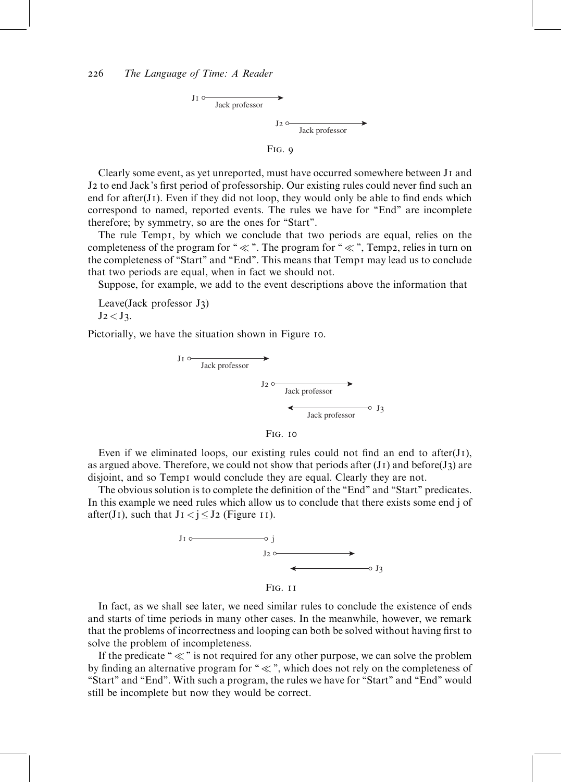

Clearly some event, as yet unreported, must have occurred somewhere between J1 and J2 to end Jack's first period of professorship. Our existing rules could never find such an end for after( $J_1$ ). Even if they did not loop, they would only be able to find ends which correspond to named, reported events. The rules we have for ''End'' are incomplete therefore; by symmetry, so are the ones for "Start".

The rule Temp1, by which we conclude that two periods are equal, relies on the completeness of the program for " $\ll$ ". The program for " $\ll$ ", Temp2, relies in turn on the completeness of ''Start'' and ''End''. This means that Temp1 may lead us to conclude that two periods are equal, when in fact we should not.

Suppose, for example, we add to the event descriptions above the information that

Leave(Jack professor J3)  $J_2 < J_3$ .

Pictorially, we have the situation shown in Figure 10.





Even if we eliminated loops, our existing rules could not find an end to after $(J_1)$ , as argued above. Therefore, we could not show that periods after  $(J<sub>I</sub>)$  and before( $J<sub>3</sub>$ ) are disjoint, and so Temp1 would conclude they are equal. Clearly they are not.

The obvious solution is to complete the definition of the "End" and "Start" predicates. In this example we need rules which allow us to conclude that there exists some end j of after(J<sub>I</sub>), such that  $J_1 < j < J_2$  (Figure <sub>11</sub>).



Fig. 11

In fact, as we shall see later, we need similar rules to conclude the existence of ends and starts of time periods in many other cases. In the meanwhile, however, we remark that the problems of incorrectness and looping can both be solved without having first to solve the problem of incompleteness.

If the predicate " $\ll$ " is not required for any other purpose, we can solve the problem by finding an alternative program for " $\ll$ ", which does not rely on the completeness of "Start" and "End". With such a program, the rules we have for "Start" and "End" would still be incomplete but now they would be correct.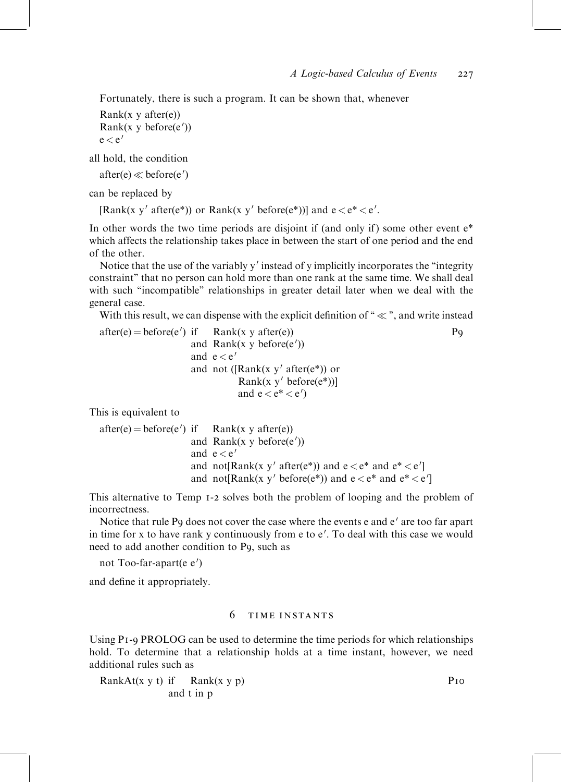Fortunately, there is such a program. It can be shown that, whenever

 $Rank(x, y)$  after(e))  $Rank(x, y, before(e'))$  $e < e'$ 

all hold, the condition

 $after(e) \ll before(e')$ 

can be replaced by

[Rank(x y' after(e\*)) or Rank(x y' before(e\*))] and  $e < e^* < e'$ .

In other words the two time periods are disjoint if (and only if) some other event  $e^*$ which affects the relationship takes place in between the start of one period and the end of the other.

Notice that the use of the variably y' instead of y implicitly incorporates the "integrity" constraint'' that no person can hold more than one rank at the same time. We shall deal with such "incompatible" relationships in greater detail later when we deal with the general case.

With this result, we can dispense with the explicit definition of " $\ll$ ", and write instead

$$
after(e) = before(e') \text{ if } Rank(x \text{ y after}(e))
$$
  
and Rank(x y before(e'))  
and e < e'  
and not ([Rank(x y' after(e\*)) or  
Rank(x y' before(e\*))]  
and e < e \* < e')

This is equivalent to

 $after(e) = before(e')$  if  $Rank(x, y)$  after(e)) and Rank(x y before(e')) and  $e < e'$ and not[Rank(x y' after(e\*)) and  $e < e^*$  and  $e^* < e'$ ] and not[Rank(x y' before( $e^*$ )) and  $e < e^*$  and  $e^* < e'$ ]

This alternative to Temp 1-2 solves both the problem of looping and the problem of incorrectness.

Notice that rule P9 does not cover the case where the events  $e$  and  $e'$  are too far apart in time for x to have rank y continuously from  $e$  to  $e'$ . To deal with this case we would need to add another condition to P9, such as

not Too-far-apart(e e')

and define it appropriately.

## 6 time instants

Using  $P_1$ -9 PROLOG can be used to determine the time periods for which relationships hold. To determine that a relationship holds at a time instant, however, we need additional rules such as

$$
RankAt(x y t) if  $Rank(x y p)$   
and t in p
$$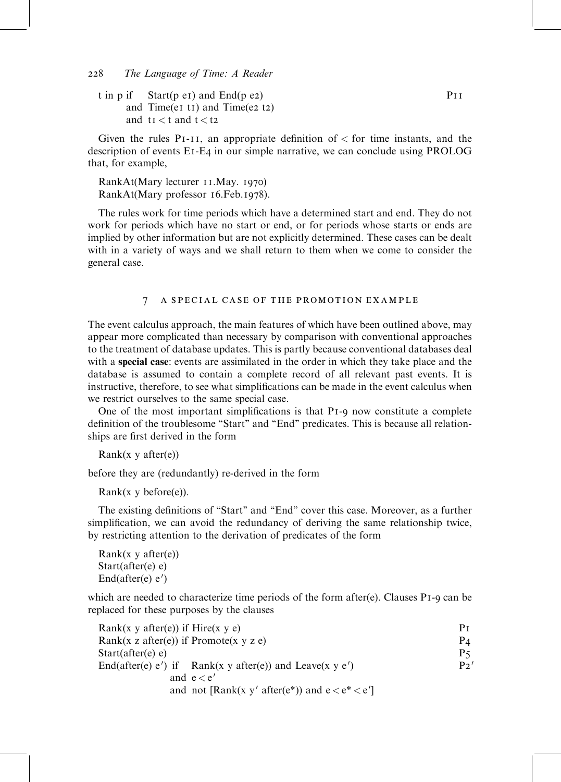t in p if Start(p e1) and End(p e2) P11 and Time(e1 t1) and Time(e2 t2) and  $t_1 < t$  and  $t < t_2$ 

Given the rules  $P1-I1$ , an appropriate definition of  $\lt$  for time instants, and the description of events E1-E4 in our simple narrative, we can conclude using PROLOG that, for example,

RankAt(Mary lecturer 11.May. 1970) RankAt(Mary professor 16.Feb.1978).

The rules work for time periods which have a determined start and end. They do not work for periods which have no start or end, or for periods whose starts or ends are implied by other information but are not explicitly determined. These cases can be dealt with in a variety of ways and we shall return to them when we come to consider the general case.

# 7 a special case of the promotion example

The event calculus approach, the main features of which have been outlined above, may appear more complicated than necessary by comparison with conventional approaches to the treatment of database updates. This is partly because conventional databases deal with a **special case**: events are assimilated in the order in which they take place and the database is assumed to contain a complete record of all relevant past events. It is instructive, therefore, to see what simplifications can be made in the event calculus when we restrict ourselves to the same special case.

One of the most important simplifications is that P1-9 now constitute a complete definition of the troublesome "Start" and "End" predicates. This is because all relationships are first derived in the form

 $Rank(x, y)$  after(e))

before they are (redundantly) re-derived in the form

Rank(x y before(e)).

The existing definitions of "Start" and "End" cover this case. Moreover, as a further simplification, we can avoid the redundancy of deriving the same relationship twice, by restricting attention to the derivation of predicates of the form

```
Rank(x, y) after(e))
Start(after(e) e)
End(after(e) e')
```
which are needed to characterize time periods of the form after(e). Clauses P1-9 can be replaced for these purposes by the clauses

| Rank(x y after(e)) if Hire(x y e)      |                                                          | P <sub>T</sub>    |
|----------------------------------------|----------------------------------------------------------|-------------------|
| Rank(x z after(e)) if Promote(x y z e) |                                                          | $P_{4}$           |
| Start(after(e) e)                      |                                                          | $P_{\mathcal{F}}$ |
|                                        | End(after(e) e') if Rank(x y after(e)) and Leave(x y e') | $P_2$             |
| and $e < e'$                           |                                                          |                   |
|                                        | and not [Rank(x y' after(e*)) and $e < e^* < e'$ ]       |                   |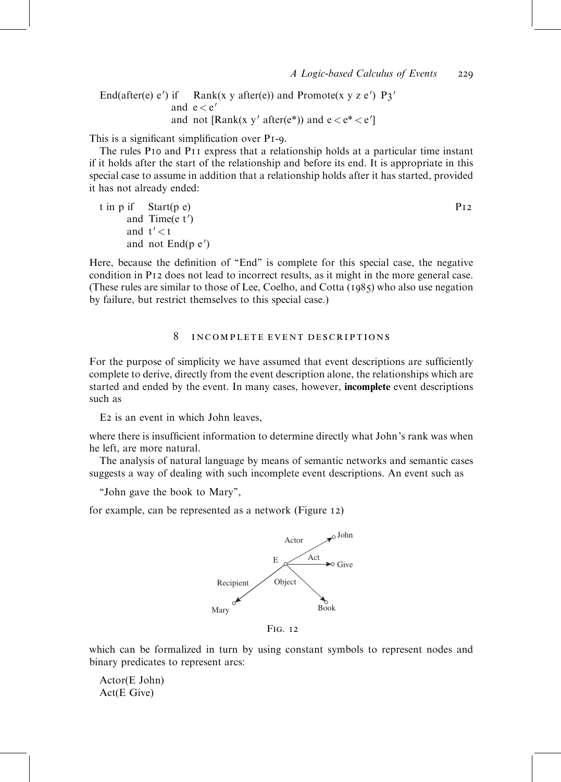$$
\begin{array}{ll}\n\text{End}(\text{after}(e) e') \text{ if } & \text{Rank}(x \text{ y after}(e)) \text{ and } \text{Promote}(x \text{ y } z \text{ e}') \text{ P3}' \\
& \text{and } e < e' \\
& \text{and } \text{not } [\text{Rank}(x \text{ y'} \text{ after}(e^*)) \text{ and } e < e^* < e']\n\end{array}
$$

This is a significant simplification over P1-9.

The rules P10 and P11 express that a relationship holds at a particular time instant if it holds after the start of the relationship and before its end. It is appropriate in this special case to assume in addition that a relationship holds after it has started, provided it has not already ended:

t in p if Start(p e) P<sub>12</sub> and Time $(e t')$ and  $t' < t$ and not  $End(p e')$ 

Here, because the definition of "End" is complete for this special case, the negative condition in P12 does not lead to incorrect results, as it might in the more general case. (These rules are similar to those of Lee, Coelho, and Cotta (1985) who also use negation by failure, but restrict themselves to this special case.)

# 8 incomplete event descriptions

For the purpose of simplicity we have assumed that event descriptions are sufficiently complete to derive, directly from the event description alone, the relationships which are started and ended by the event. In many cases, however, incomplete event descriptions such as

E2 is an event in which John leaves,

where there is insufficient information to determine directly what John's rank was when he left, are more natural.

The analysis of natural language by means of semantic networks and semantic cases suggests a way of dealing with such incomplete event descriptions. An event such as

''John gave the book to Mary'',

for example, can be represented as a network (Figure 12)



Fig. 12

which can be formalized in turn by using constant symbols to represent nodes and binary predicates to represent arcs:

Actor(E John) Act(E Give)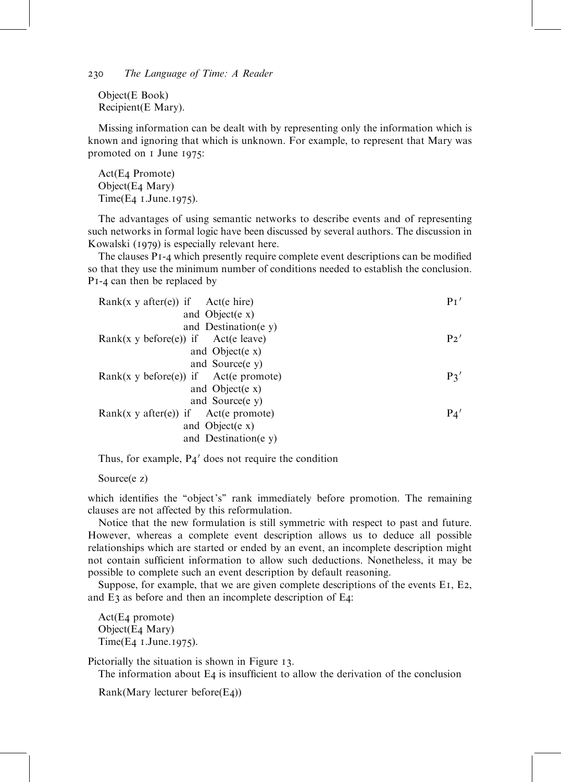Object(E Book) Recipient(E Mary).

Missing information can be dealt with by representing only the information which is known and ignoring that which is unknown. For example, to represent that Mary was promoted on 1 June 1975:

Act(E4 Promote) Object(E4 Mary) Time(E4 1.June.1975).

The advantages of using semantic networks to describe events and of representing such networks in formal logic have been discussed by several authors. The discussion in Kowalski (1979) is especially relevant here.

The clauses P1-4 which presently require complete event descriptions can be modified so that they use the minimum number of conditions needed to establish the conclusion. P1-4 can then be replaced by

| Rank(x y after(e)) if $Act(e)$ hire)   | $P_I'$ |
|----------------------------------------|--------|
| and Object $(e \times)$                |        |
| and Destination $(e \, y)$             |        |
| Rank(x y before(e)) if $Act(e)$ leave) | $P_2'$ |
| and Object(e $x$ )                     |        |
| and Source $(e \text{ } v)$            |        |
| Rank(x y before(e)) if Act(e promote)  | $P_3'$ |
| and Object(e $x$ )                     |        |
| and Source $(e \text{ } v)$            |        |
| Rank(x y after(e)) if Act(e promote)   | $P_4'$ |
| and Object $(e \times)$                |        |
| and Destination (e $y$ )               |        |

Thus, for example,  $P_4'$  does not require the condition

Source(e z)

which identifies the "object's" rank immediately before promotion. The remaining clauses are not affected by this reformulation.

Notice that the new formulation is still symmetric with respect to past and future. However, whereas a complete event description allows us to deduce all possible relationships which are started or ended by an event, an incomplete description might not contain sufficient information to allow such deductions. Nonetheless, it may be possible to complete such an event description by default reasoning.

Suppose, for example, that we are given complete descriptions of the events E1, E2, and E3 as before and then an incomplete description of E4:

Act(E4 promote) Object(E4 Mary) Time(E4 1.June.1975).

Pictorially the situation is shown in Figure 13.

The information about E4 is insufficient to allow the derivation of the conclusion

Rank(Mary lecturer before(E4))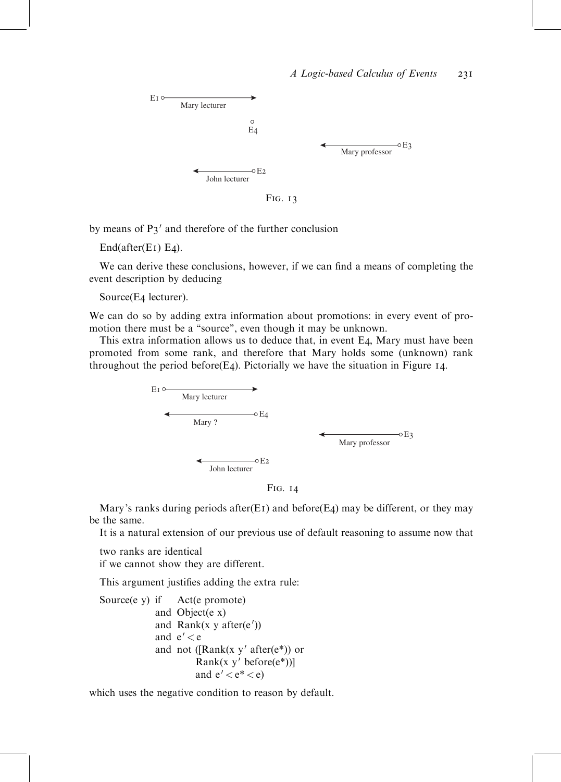

Fig. 13

by means of  $P_3'$  and therefore of the further conclusion

End(after(E1) E4).

We can derive these conclusions, however, if we can find a means of completing the event description by deducing

Source(E4 lecturer).

We can do so by adding extra information about promotions: in every event of promotion there must be a ''source'', even though it may be unknown.

This extra information allows us to deduce that, in event E4, Mary must have been promoted from some rank, and therefore that Mary holds some (unknown) rank throughout the period before $(E_4)$ . Pictorially we have the situation in Figure 14.





Mary's ranks during periods after(E1) and before(E4) may be different, or they may be the same.

It is a natural extension of our previous use of default reasoning to assume now that

two ranks are identical if we cannot show they are different.

This argument justifies adding the extra rule:

Source(e y) if Act(e promote) and Object(e x) and Rank(x y after(e')) and  $e' < e$ and not ([Rank(x  $y'$  after(e\*)) or Rank(x  $y'$  before(e\*))] and  $e' < e^* < e$ )

which uses the negative condition to reason by default.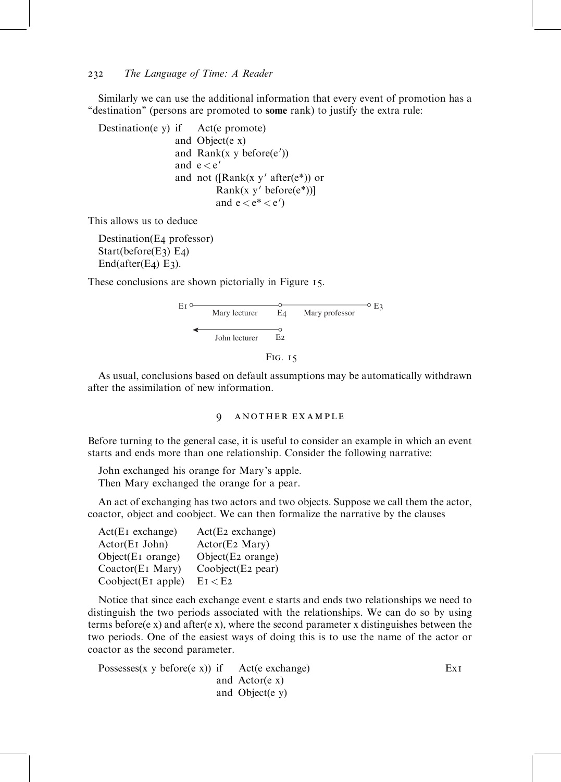Similarly we can use the additional information that every event of promotion has a "destination" (persons are promoted to some rank) to justify the extra rule:

Destination(e y) if  $Act(e$  promote) and Object(e x) and Rank( $x$  y before(e')) and  $e < e'$ and not ( $[Rank(x y' after(e*))$ ) or Rank(x  $y'$  before(e\*))] and  $e < e^* < e'$ 

This allows us to deduce

Destination(E4 professor) Start(before(E3) E4)  $End(after(E4) E3).$ 

These conclusions are shown pictorially in Figure 15.



Fig. 15

As usual, conclusions based on default assumptions may be automatically withdrawn after the assimilation of new information.

### 9 another example

Before turning to the general case, it is useful to consider an example in which an event starts and ends more than one relationship. Consider the following narrative:

John exchanged his orange for Mary's apple. Then Mary exchanged the orange for a pear.

An act of exchanging has two actors and two objects. Suppose we call them the actor, coactor, object and coobject. We can then formalize the narrative by the clauses

| Act(E <sub>I</sub> exchange) | $Act(Ez)$ exchange) |
|------------------------------|---------------------|
| Actor(E1 John)               | Actor(E2 Mary)      |
| Object $(EI)$ orange)        | Object(E2 orange)   |
| $Coactor(EI$ Mary)           | Coobject(Ez~pear)   |
| Coobject(E1 apple)           | E1 < E2             |

Notice that since each exchange event e starts and ends two relationships we need to distinguish the two periods associated with the relationships. We can do so by using terms before( $e \textbf{x}$ ) and after( $e \textbf{x}$ ), where the second parameter x distinguishes between the two periods. One of the easiest ways of doing this is to use the name of the actor or coactor as the second parameter.

Possesses(x y before(e x)) if Act(e exchange) Ex1 and Actor(e x) and Object(e y)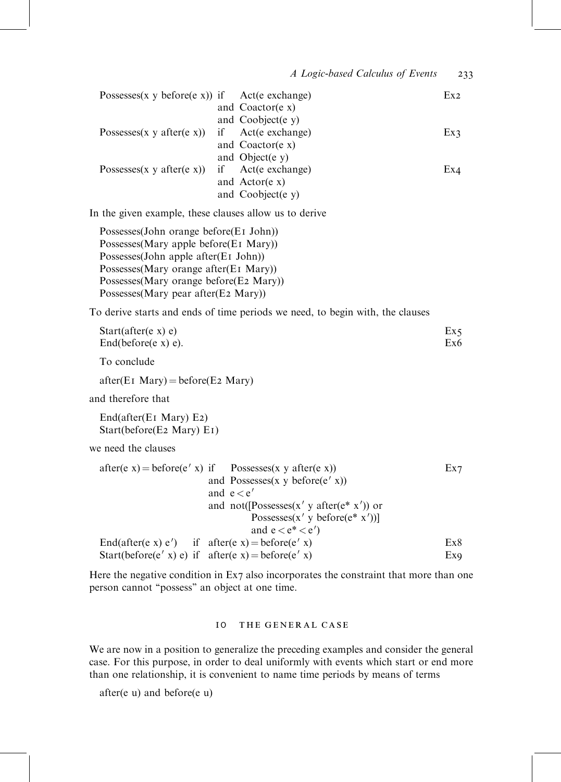| Possesses $(x \ y \ before(e \ x))$ if Act $(e \ exchange)$ |                        | Ex2 |
|-------------------------------------------------------------|------------------------|-----|
|                                                             | and $Coactor(e x)$     |     |
|                                                             | and Coobject(e $y$ )   |     |
| Possesses(x y after(e x)) if                                | Act(e exchange)        | Ex3 |
|                                                             | and $Coactor(e x)$     |     |
|                                                             | and Object(e $y$ )     |     |
| Possesses $(x \vee x)$ if                                   | Act(e exchange)        | Ex4 |
|                                                             | and Actor $(e \times)$ |     |
|                                                             | and Coobject(e $y$ )   |     |

In the given example, these clauses allow us to derive

Possesses(John orange before(E1 John)) Possesses(Mary apple before(E1 Mary)) Possesses(John apple after(E1 John)) Possesses(Mary orange after(E1 Mary)) Possesses(Mary orange before(E2 Mary)) Possesses(Mary pear after(E2 Mary))

To derive starts and ends of time periods we need, to begin with, the clauses

| Start(after(e x) $e$ )<br>End $(\text{before}(e \ x) e)$ .                                                                                                                                                                        | Ex5<br>Ex <sub>6</sub> |
|-----------------------------------------------------------------------------------------------------------------------------------------------------------------------------------------------------------------------------------|------------------------|
| To conclude                                                                                                                                                                                                                       |                        |
| $after(EI Mary) = before(E2 Mary)$                                                                                                                                                                                                |                        |
| and therefore that                                                                                                                                                                                                                |                        |
| End(after(EI Mary) E2)<br>Start(before(E2 Mary) E1)                                                                                                                                                                               |                        |
| we need the clauses                                                                                                                                                                                                               |                        |
| $after(e x) = before(e' x) if Possesses(x y after(e x))$<br>and Possesses(x y before(e' x))<br>and $e < e'$<br>and not([Possesses( $x'$ y after( $e^*$ x')) or<br>Possesses $(x' y \text{ before}(e^* x'))$<br>and $e < e^* < e'$ | Ex7                    |
| End(after(e x) e') if after(e x) = before(e' x)                                                                                                                                                                                   | Ex8                    |
| Start(before(e' x) e) if after(e x) = before(e' x)                                                                                                                                                                                | Exq                    |

Here the negative condition in Ex7 also incorporates the constraint that more than one person cannot ''possess'' an object at one time.

## 10 THE GENERAL CASE

We are now in a position to generalize the preceding examples and consider the general case. For this purpose, in order to deal uniformly with events which start or end more than one relationship, it is convenient to name time periods by means of terms

after(e u) and before(e u)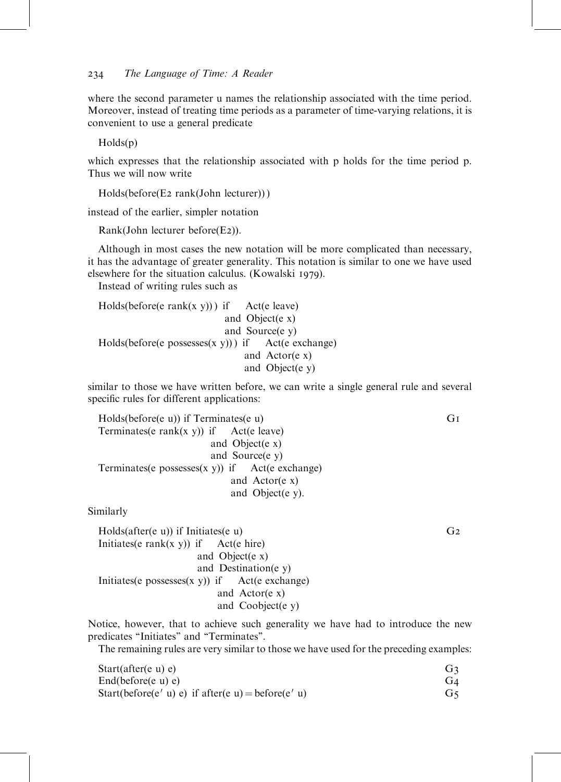where the second parameter u names the relationship associated with the time period. Moreover, instead of treating time periods as a parameter of time-varying relations, it is convenient to use a general predicate

Holds(p)

which expresses that the relationship associated with p holds for the time period p. Thus we will now write

Holds(before(E2 rank(John lecturer)) )

instead of the earlier, simpler notation

Rank(John lecturer before(E2)).

Although in most cases the new notation will be more complicated than necessary, it has the advantage of greater generality. This notation is similar to one we have used elsewhere for the situation calculus. (Kowalski 1979).

Instead of writing rules such as

Holds(before(e rank(x y))) if 
$$
Act(e leave)
$$
 and  $Object(e x)$  and  $Source(e y)$ 

\nHolds(before(e possesses(x y))) if  $Act(e exchange)$  and  $Act(e exchange)$  and  $Acto(e x)$  and  $Object(e y)$ 

similar to those we have written before, we can write a single general rule and several specific rules for different applications:

| $Holds(before(e u))$ if Terminates $(e u)$             | GI |
|--------------------------------------------------------|----|
| Terminates (e rank $(x, y)$ ) if Act (e leave)         |    |
| and Object(e $x$ )                                     |    |
| and Source $(e \text{ } y)$                            |    |
| Terminates (e possesses $(x, y)$ ) if Act (e exchange) |    |
| and Actor $(e \times)$                                 |    |
| and Object $(e y)$ .                                   |    |
|                                                        |    |

Similarly

 $Holds(after(e u))$  if Initiates(e u) G<sub>2</sub> Initiates(e rank(x y)) if Act(e hire) and Object(e x) and Destination(e y) Initiates(e possesses $(x, y)$ ) if Act(e exchange) and Actor(e x) and Coobject(e y)

Notice, however, that to achieve such generality we have had to introduce the new predicates "Initiates" and "Terminates".

The remaining rules are very similar to those we have used for the preceding examples:

| Start(after(e u) e)                                |    |
|----------------------------------------------------|----|
| End(before(e u) e)                                 | G4 |
| Start(before(e' u) e) if after(e u) = before(e' u) |    |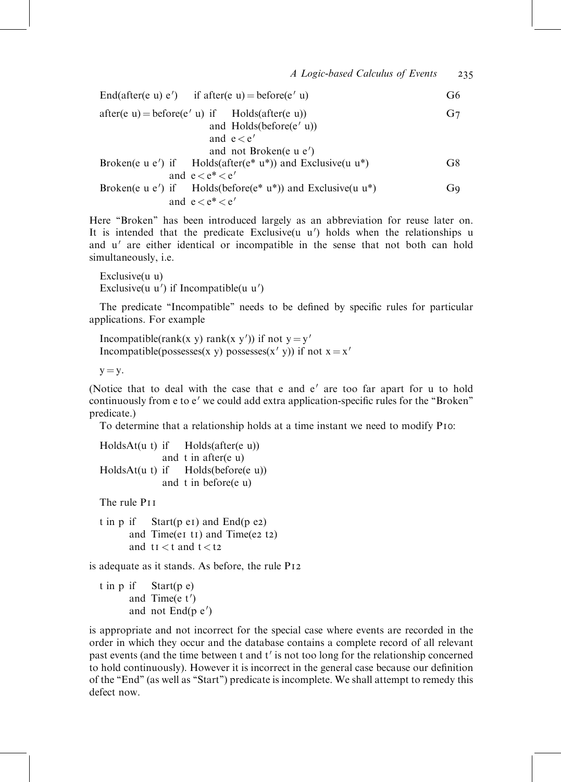A Logic-based Calculus of Events 235

End(after(e u)  $e'$ ) if after(e u) = before(e' u) G6  $after(e \ u) = before(e' \ u) \ if \ Holds(after(e \ u))$  G7 and Holds(before $(e'$ u)) and  $e < e'$ and not Broken(e u e') Broken(e  $u e'$ ) if  $Holds(after(e^* u^*))$  and Exclusive(u u\*) G8 and  $e < e^* < e'$ Broken(e  $u e'$ ) if  $Holds(before(e^* u^*))$  and Exclusive(u u\*) G9 and  $e < e^* < e'$ 

Here "Broken" has been introduced largely as an abbreviation for reuse later on. It is intended that the predicate Exclusive( $u$   $u'$ ) holds when the relationships  $u$ and u' are either identical or incompatible in the sense that not both can hold simultaneously, i.e.

Exclusive(u u) Exclusive(u  $u'$ ) if Incompatible(u  $u'$ )

The predicate "Incompatible" needs to be defined by specific rules for particular applications. For example

```
Incompatible(rank(x y) rank(x y')) if not y = y'Incompatible(possesses(x y) possesses(x' y)) if not x = x'
```
 $y = y$ .

(Notice that to deal with the case that e and  $e'$  are too far apart for u to hold continuously from e to e' we could add extra application-specific rules for the "Broken" predicate.)

To determine that a relationship holds at a time instant we need to modify P10:

```
HoldsAt(u t) if Holds(after(e u))
             and t in after(e u)
HoldsAt(u t) if Holds(before(e u))
             and t in before(e u)
```

```
The rule P11
```
t in p if Start(p e1) and  $End(p e<sub>2</sub>)$ and Time(e1 t1) and Time(e2 t2) and  $t_1 < t$  and  $t < t_2$ 

is adequate as it stands. As before, the rule P12

```
t in p if Start(p e)
      and Time(e t')and not End(p e')
```
is appropriate and not incorrect for the special case where events are recorded in the order in which they occur and the database contains a complete record of all relevant past events (and the time between t and  $t'$  is not too long for the relationship concerned to hold continuously). However it is incorrect in the general case because our definition of the "End" (as well as "Start") predicate is incomplete. We shall attempt to remedy this defect now.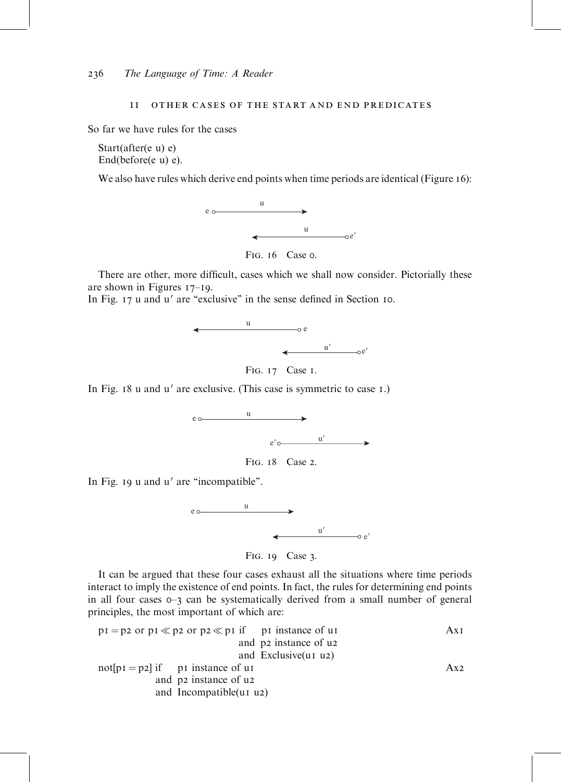## 11 OTHER CASES OF THE START AND END PREDICATES

So far we have rules for the cases

Start(after(e u) e) End(before(e u) e).

We also have rules which derive end points when time periods are identical (Figure 16):





There are other, more difficult, cases which we shall now consider. Pictorially these are shown in Figures 17–19.

In Fig.  $17 u$  and  $u'$  are "exclusive" in the sense defined in Section 10.



FIG. 17 Case I.

In Fig.  $18$  u and u' are exclusive. (This case is symmetric to case 1.)



Fig. 18 Case 2.

In Fig. 19 u and  $u'$  are "incompatible".



It can be argued that these four cases exhaust all the situations where time periods interact to imply the existence of end points. In fact, the rules for determining end points in all four cases 0–3 can be systematically derived from a small number of general principles, the most important of which are:

$$
p1 = p2 \text{ or } p1 \ll p2 \text{ or } p2 \ll p1 \text{ if } p1 \text{ instance of } u1
$$
  
and p2 instance of u2  
and Exclusive(u1 u2)  
not[p1 = p2] if p1 instance of u1  
and p2 instance of u2  
and Incompatible(u1 u2)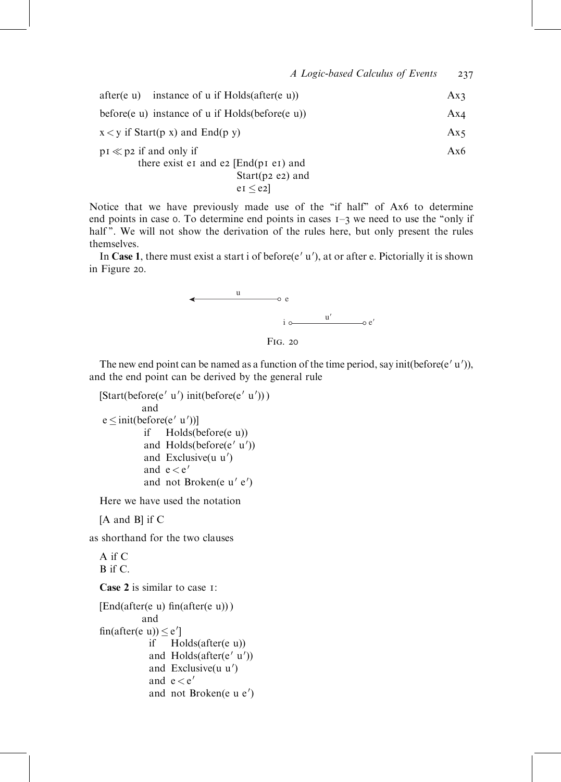| instance of u if Holds(after(e u))<br>after $(e u)$                                                             | Ax3 |
|-----------------------------------------------------------------------------------------------------------------|-----|
| before(e u) instance of u if $Holds(before(e u))$                                                               | Ax4 |
| $x < y$ if Start(p x) and End(p y)                                                                              | Ax5 |
| $pI \ll p2$ if and only if<br>there exist $eI$ and $e2$ [End( $pI$ $eI$ ) and<br>Start( $p2$ e2) and<br>eI < e2 | Ax6 |

Notice that we have previously made use of the "if half" of Ax6 to determine end points in case 0. To determine end points in cases  $I-3$  we need to use the "only if half". We will not show the derivation of the rules here, but only present the rules themselves.

In Case 1, there must exist a start i of before( $e' u'$ ), at or after e. Pictorially it is shown in Figure 20.



Fig. 20

The new end point can be named as a function of the time period, say init(before( $e'$  u')), and the end point can be derived by the general rule

```
[Start(before(e' u') init(before(e' u')))]and
e \le \text{init}(\text{before}(e' \ u'))if Holds(before(e u))
           and Holds(before(e' u'))
           and Exclusive(u u')
          and e < e'and not Broken(e u' e')
```
Here we have used the notation

[A and B] if C

as shorthand for the two clauses

A if C B if C.

Case 2 is similar to case 1:

```
[End(after(e u) fin(after(e u)) )
          and
fin(after(e u)) \leq e']
           if Holds(after(e u))
            and Holds(after(e' u'))
            and Exclusive(u u')
           and e < e'and not Broken(e u e')
```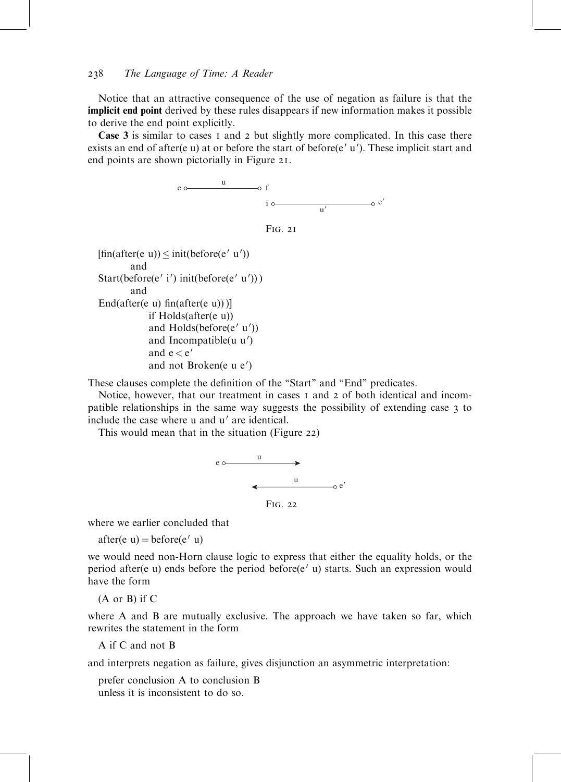Notice that an attractive consequence of the use of negation as failure is that the implicit end point derived by these rules disappears if new information makes it possible to derive the end point explicitly.

Case 3 is similar to cases 1 and 2 but slightly more complicated. In this case there exists an end of after(e u) at or before the start of before(e' u'). These implicit start and end points are shown pictorially in Figure 21.



and Start(before(e' i') init(before(e'  $u'$ ))) and End(after(e u) fin(after(e u)))] if Holds(after(e u)) and Holds(before(e' u')) and Incompatible(u u') and  $e < e'$ and not Broken(e u e')

These clauses complete the definition of the "Start" and "End" predicates.

Notice, however, that our treatment in cases 1 and 2 of both identical and incompatible relationships in the same way suggests the possibility of extending case 3 to include the case where u and u' are identical.

This would mean that in the situation (Figure 22)



where we earlier concluded that

after(e u) = before(e' u)

we would need non-Horn clause logic to express that either the equality holds, or the period after(e u) ends before the period before(e' u) starts. Such an expression would have the form

(A or B) if C

where A and B are mutually exclusive. The approach we have taken so far, which rewrites the statement in the form

A if C and not B

and interprets negation as failure, gives disjunction an asymmetric interpretation:

prefer conclusion A to conclusion B unless it is inconsistent to do so.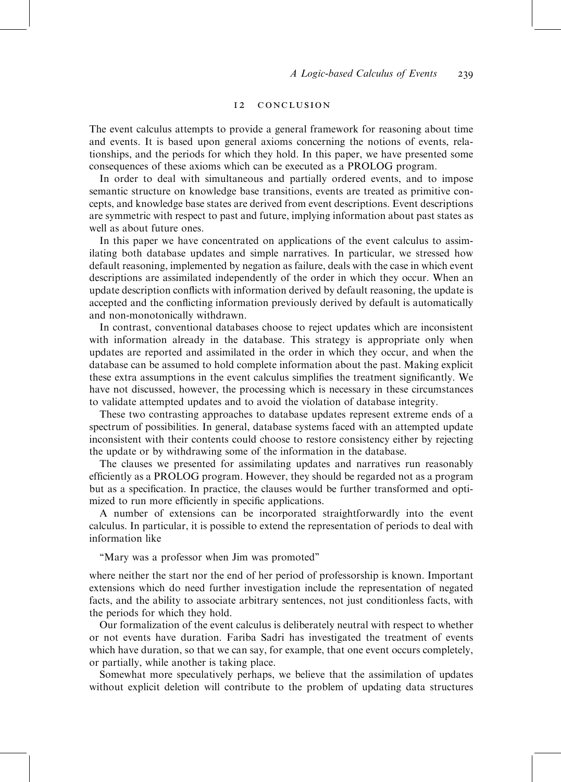## 12 conclusion

The event calculus attempts to provide a general framework for reasoning about time and events. It is based upon general axioms concerning the notions of events, relationships, and the periods for which they hold. In this paper, we have presented some consequences of these axioms which can be executed as a PROLOG program.

In order to deal with simultaneous and partially ordered events, and to impose semantic structure on knowledge base transitions, events are treated as primitive concepts, and knowledge base states are derived from event descriptions. Event descriptions are symmetric with respect to past and future, implying information about past states as well as about future ones.

In this paper we have concentrated on applications of the event calculus to assimilating both database updates and simple narratives. In particular, we stressed how default reasoning, implemented by negation as failure, deals with the case in which event descriptions are assimilated independently of the order in which they occur. When an update description conflicts with information derived by default reasoning, the update is accepted and the conflicting information previously derived by default is automatically and non-monotonically withdrawn.

In contrast, conventional databases choose to reject updates which are inconsistent with information already in the database. This strategy is appropriate only when updates are reported and assimilated in the order in which they occur, and when the database can be assumed to hold complete information about the past. Making explicit these extra assumptions in the event calculus simplifies the treatment significantly. We have not discussed, however, the processing which is necessary in these circumstances to validate attempted updates and to avoid the violation of database integrity.

These two contrasting approaches to database updates represent extreme ends of a spectrum of possibilities. In general, database systems faced with an attempted update inconsistent with their contents could choose to restore consistency either by rejecting the update or by withdrawing some of the information in the database.

The clauses we presented for assimilating updates and narratives run reasonably efficiently as a PROLOG program. However, they should be regarded not as a program but as a specification. In practice, the clauses would be further transformed and optimized to run more efficiently in specific applications.

A number of extensions can be incorporated straightforwardly into the event calculus. In particular, it is possible to extend the representation of periods to deal with information like

''Mary was a professor when Jim was promoted''

where neither the start nor the end of her period of professorship is known. Important extensions which do need further investigation include the representation of negated facts, and the ability to associate arbitrary sentences, not just conditionless facts, with the periods for which they hold.

Our formalization of the event calculus is deliberately neutral with respect to whether or not events have duration. Fariba Sadri has investigated the treatment of events which have duration, so that we can say, for example, that one event occurs completely, or partially, while another is taking place.

Somewhat more speculatively perhaps, we believe that the assimilation of updates without explicit deletion will contribute to the problem of updating data structures